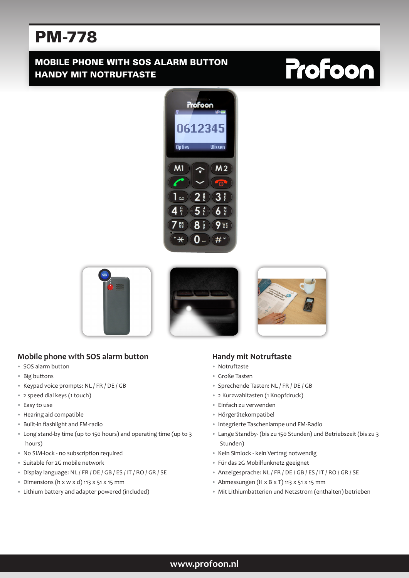# PM-778

### MOBILE PHONE WITH SOS ALARM BUTTON HANDY MIT NOTRUFTASTE

# **Profoon**









#### **Mobile phone with SOS alarm button**

- SOS alarm button
- Big buttons
- Keypad voice prompts: NL / FR / DE / GB
- 2 speed dial keys (1 touch)
- Easy to use
- Hearing aid compatible
- Built-in flashlight and FM-radio
- Long stand-by time (up to 150 hours) and operating time (up to 3 hours)
- No SIM-lock no subscription required
- Suitable for 2G mobile network
- Display language: NL / FR / DE / GB / ES / IT / RO / GR / SE
- Dimensions (h x w x d) 113 x 51 x 15 mm
- Lithium battery and adapter powered (included)

#### **Handy mit Notruftaste**

- Notruftaste
- Große Tasten
- Sprechende Tasten: NL / FR / DE / GB
- 2 Kurzwahltasten (1 Knopfdruck)
- Einfach zu verwenden
- Hörgerätekompatibel
- Integrierte Taschenlampe und FM-Radio
- Lange Standby- (bis zu 150 Stunden) und Betriebszeit (bis zu 3 Stunden)
- Kein Simlock kein Vertrag notwendig
- Für das 2G Mobilfunknetz geeignet
- Anzeigesprache: NL / FR / DE / GB / ES / IT / RO / GR / SE
- Abmessungen (H x B x T) 113 x 51 x 15 mm
- Mit Lithiumbatterien und Netzstrom (enthalten) betrieben

#### **www.profoon.nl**